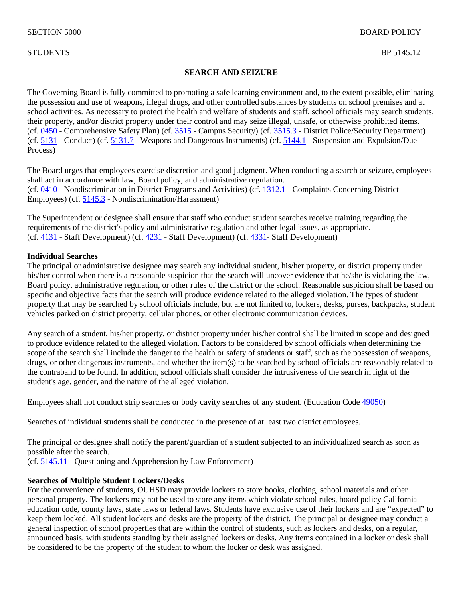### STUDENTS BP 5145.12

### **SEARCH AND SEIZURE**

The Governing Board is fully committed to promoting a safe learning environment and, to the extent possible, eliminating the possession and use of weapons, illegal drugs, and other controlled substances by students on school premises and at school activities. As necessary to protect the health and welfare of students and staff, school officials may search students, their property, and/or district property under their control and may seize illegal, unsafe, or otherwise prohibited items. (cf. [0450](http://gamutonline.net/displayPolicy/1053052/5) - Comprehensive Safety Plan) (cf. [3515](http://gamutonline.net/displayPolicy/431198/5) - Campus Security) (cf. [3515.3](http://gamutonline.net/displayPolicy/315727/5) - District Police/Security Department) (cf. [5131](http://gamutonline.net/displayPolicy/931147/5) - Conduct) (cf. [5131.7](http://gamutonline.net/displayPolicy/244950/5) - Weapons and Dangerous Instruments) (cf. [5144.1](http://gamutonline.net/displayPolicy/909488/5) - Suspension and Expulsion/Due Process)

The Board urges that employees exercise discretion and good judgment. When conducting a search or seizure, employees shall act in accordance with law, Board policy, and administrative regulation. (cf. [0410](http://gamutonline.net/displayPolicy/890898/5) - Nondiscrimination in District Programs and Activities) (cf. [1312.1](http://gamutonline.net/displayPolicy/170632/5) - Complaints Concerning District Employees) (cf. [5145.3](http://gamutonline.net/displayPolicy/1056960/5) - Nondiscrimination/Harassment)

The Superintendent or designee shall ensure that staff who conduct student searches receive training regarding the requirements of the district's policy and administrative regulation and other legal issues, as appropriate. (cf. [4131](http://gamutonline.net/displayPolicy/1002203/5) - Staff Development) (cf. [4231](http://gamutonline.net/displayPolicy/1002207/5) - Staff Development) (cf. [4331-](http://gamutonline.net/displayPolicy/171627/5) Staff Development)

#### **Individual Searches**

The principal or administrative designee may search any individual student, his/her property, or district property under his/her control when there is a reasonable suspicion that the search will uncover evidence that he/she is violating the law, Board policy, administrative regulation, or other rules of the district or the school. Reasonable suspicion shall be based on specific and objective facts that the search will produce evidence related to the alleged violation. The types of student property that may be searched by school officials include, but are not limited to, lockers, desks, purses, backpacks, student vehicles parked on district property, cellular phones, or other electronic communication devices.

Any search of a student, his/her property, or district property under his/her control shall be limited in scope and designed to produce evidence related to the alleged violation. Factors to be considered by school officials when determining the scope of the search shall include the danger to the health or safety of students or staff, such as the possession of weapons, drugs, or other dangerous instruments, and whether the item(s) to be searched by school officials are reasonably related to the contraband to be found. In addition, school officials shall consider the intrusiveness of the search in light of the student's age, gender, and the nature of the alleged violation.

Employees shall not conduct strip searches or body cavity searches of any student. (Education Code [49050\)](http://gamutonline.net/displayPolicy/132277/5)

Searches of individual students shall be conducted in the presence of at least two district employees.

The principal or designee shall notify the parent/guardian of a student subjected to an individualized search as soon as possible after the search.

(cf. [5145.11](http://gamutonline.net/displayPolicy/171238/5) - Questioning and Apprehension by Law Enforcement)

#### **Searches of Multiple Student Lockers/Desks**

For the convenience of students, OUHSD may provide lockers to store books, clothing, school materials and other personal property. The lockers may not be used to store any items which violate school rules, board policy California education code, county laws, state laws or federal laws. Students have exclusive use of their lockers and are "expected" to keep them locked. All student lockers and desks are the property of the district. The principal or designee may conduct a general inspection of school properties that are within the control of students, such as lockers and desks, on a regular, announced basis, with students standing by their assigned lockers or desks. Any items contained in a locker or desk shall be considered to be the property of the student to whom the locker or desk was assigned.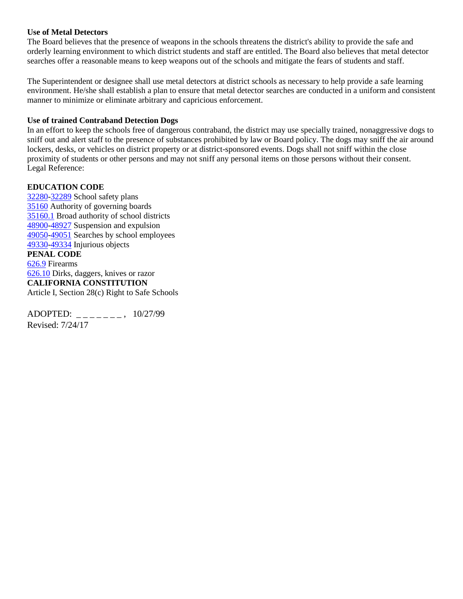#### **Use of Metal Detectors**

The Board believes that the presence of weapons in the schools threatens the district's ability to provide the safe and orderly learning environment to which district students and staff are entitled. The Board also believes that metal detector searches offer a reasonable means to keep weapons out of the schools and mitigate the fears of students and staff.

The Superintendent or designee shall use metal detectors at district schools as necessary to help provide a safe learning environment. He/she shall establish a plan to ensure that metal detector searches are conducted in a uniform and consistent manner to minimize or eliminate arbitrary and capricious enforcement.

#### **Use of trained Contraband Detection Dogs**

In an effort to keep the schools free of dangerous contraband, the district may use specially trained, nonaggressive dogs to sniff out and alert staff to the presence of substances prohibited by law or Board policy. The dogs may sniff the air around lockers, desks, or vehicles on district property or at district-sponsored events. Dogs shall not sniff within the close proximity of students or other persons and may not sniff any personal items on those persons without their consent. Legal Reference:

### **EDUCATION CODE**

[32280-](http://gamutonline.net/displayPolicy/315704/5)[32289](http://gamutonline.net/displayPolicy/352050/5) School safety plans [35160](http://gamutonline.net/displayPolicy/131397/5) Authority of governing boards [35160.1](http://gamutonline.net/displayPolicy/131398/5) Broad authority of school districts [48900-](http://gamutonline.net/displayPolicy/137736/5)[48927](http://gamutonline.net/displayPolicy/286488/5) Suspension and expulsion [49050-](http://gamutonline.net/displayPolicy/132277/5)[49051](http://gamutonline.net/displayPolicy/132278/5) Searches by school employees [49330-](http://gamutonline.net/displayPolicy/721438/5)[49334](http://gamutonline.net/displayPolicy/132340/5) Injurious objects **PENAL CODE** [626.9](http://gamutonline.net/displayPolicy/169652/5) Firearms [626.10](http://gamutonline.net/displayPolicy/169382/5) Dirks, daggers, knives or razor **CALIFORNIA CONSTITUTION** Article I, Section 28(c) Right to Safe Schools

ADOPTED: \_\_\_\_\_\_\_, 10/27/99 Revised: 7/24/17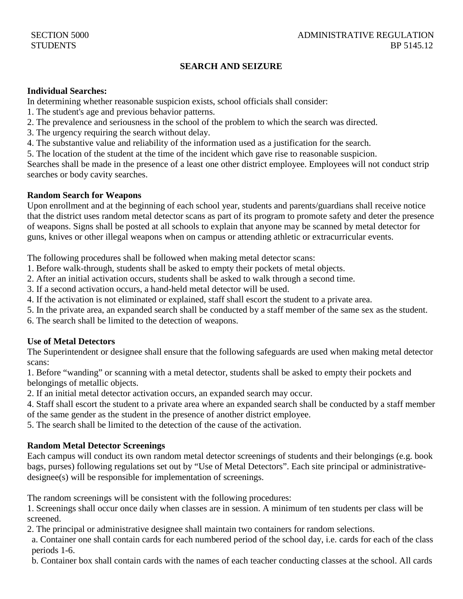## **SEARCH AND SEIZURE**

#### **Individual Searches:**

In determining whether reasonable suspicion exists, school officials shall consider:

- 1. The student's age and previous behavior patterns.
- 2. The prevalence and seriousness in the school of the problem to which the search was directed.
- 3. The urgency requiring the search without delay.
- 4. The substantive value and reliability of the information used as a justification for the search.
- 5. The location of the student at the time of the incident which gave rise to reasonable suspicion.

Searches shall be made in the presence of a least one other district employee. Employees will not conduct strip searches or body cavity searches.

### **Random Search for Weapons**

Upon enrollment and at the beginning of each school year, students and parents/guardians shall receive notice that the district uses random metal detector scans as part of its program to promote safety and deter the presence of weapons. Signs shall be posted at all schools to explain that anyone may be scanned by metal detector for guns, knives or other illegal weapons when on campus or attending athletic or extracurricular events.

The following procedures shall be followed when making metal detector scans:

- 1. Before walk-through, students shall be asked to empty their pockets of metal objects.
- 2. After an initial activation occurs, students shall be asked to walk through a second time.
- 3. If a second activation occurs, a hand-held metal detector will be used.
- 4. If the activation is not eliminated or explained, staff shall escort the student to a private area.
- 5. In the private area, an expanded search shall be conducted by a staff member of the same sex as the student.
- 6. The search shall be limited to the detection of weapons.

## **Use of Metal Detectors**

The Superintendent or designee shall ensure that the following safeguards are used when making metal detector scans:

1. Before "wanding" or scanning with a metal detector, students shall be asked to empty their pockets and belongings of metallic objects.

2. If an initial metal detector activation occurs, an expanded search may occur.

4. Staff shall escort the student to a private area where an expanded search shall be conducted by a staff member of the same gender as the student in the presence of another district employee.

5. The search shall be limited to the detection of the cause of the activation.

### **Random Metal Detector Screenings**

Each campus will conduct its own random metal detector screenings of students and their belongings (e.g. book bags, purses) following regulations set out by "Use of Metal Detectors". Each site principal or administrativedesignee(s) will be responsible for implementation of screenings.

The random screenings will be consistent with the following procedures:

1. Screenings shall occur once daily when classes are in session. A minimum of ten students per class will be screened.

2. The principal or administrative designee shall maintain two containers for random selections.

 a. Container one shall contain cards for each numbered period of the school day, i.e. cards for each of the class periods 1-6.

b. Container box shall contain cards with the names of each teacher conducting classes at the school. All cards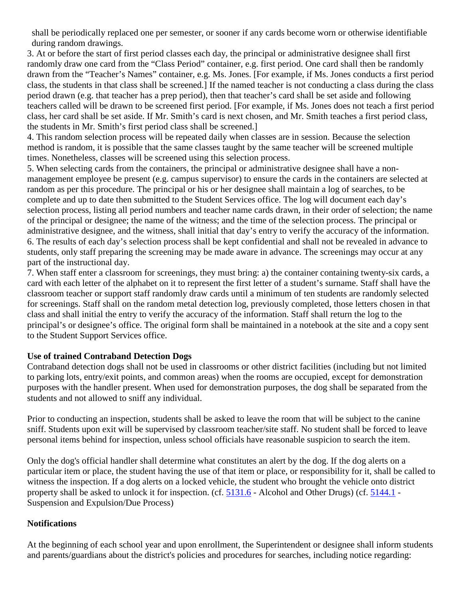shall be periodically replaced one per semester, or sooner if any cards become worn or otherwise identifiable during random drawings.

3. At or before the start of first period classes each day, the principal or administrative designee shall first randomly draw one card from the "Class Period" container, e.g. first period. One card shall then be randomly drawn from the "Teacher's Names" container, e.g. Ms. Jones. [For example, if Ms. Jones conducts a first period class, the students in that class shall be screened.] If the named teacher is not conducting a class during the class period drawn (e.g. that teacher has a prep period), then that teacher's card shall be set aside and following teachers called will be drawn to be screened first period. [For example, if Ms. Jones does not teach a first period class, her card shall be set aside. If Mr. Smith's card is next chosen, and Mr. Smith teaches a first period class, the students in Mr. Smith's first period class shall be screened.]

4. This random selection process will be repeated daily when classes are in session. Because the selection method is random, it is possible that the same classes taught by the same teacher will be screened multiple times. Nonetheless, classes will be screened using this selection process.

5. When selecting cards from the containers, the principal or administrative designee shall have a nonmanagement employee be present (e.g. campus supervisor) to ensure the cards in the containers are selected at random as per this procedure. The principal or his or her designee shall maintain a log of searches, to be complete and up to date then submitted to the Student Services office. The log will document each day's selection process, listing all period numbers and teacher name cards drawn, in their order of selection; the name of the principal or designee; the name of the witness; and the time of the selection process. The principal or administrative designee, and the witness, shall initial that day's entry to verify the accuracy of the information. 6. The results of each day's selection process shall be kept confidential and shall not be revealed in advance to students, only staff preparing the screening may be made aware in advance. The screenings may occur at any part of the instructional day.

7. When staff enter a classroom for screenings, they must bring: a) the container containing twenty-six cards, a card with each letter of the alphabet on it to represent the first letter of a student's surname. Staff shall have the classroom teacher or support staff randomly draw cards until a minimum of ten students are randomly selected for screenings. Staff shall on the random metal detection log, previously completed, those letters chosen in that class and shall initial the entry to verify the accuracy of the information. Staff shall return the log to the principal's or designee's office. The original form shall be maintained in a notebook at the site and a copy sent to the Student Support Services office.

## **Use of trained Contraband Detection Dogs**

Contraband detection dogs shall not be used in classrooms or other district facilities (including but not limited to parking lots, entry/exit points, and common areas) when the rooms are occupied, except for demonstration purposes with the handler present. When used for demonstration purposes, the dog shall be separated from the students and not allowed to sniff any individual.

Prior to conducting an inspection, students shall be asked to leave the room that will be subject to the canine sniff. Students upon exit will be supervised by classroom teacher/site staff. No student shall be forced to leave personal items behind for inspection, unless school officials have reasonable suspicion to search the item.

Only the dog's official handler shall determine what constitutes an alert by the dog. If the dog alerts on a particular item or place, the student having the use of that item or place, or responsibility for it, shall be called to witness the inspection. If a dog alerts on a locked vehicle, the student who brought the vehicle onto district property shall be asked to unlock it for inspection. (cf. [5131.6](http://gamutonline.net/displayPolicy/171128/5) - Alcohol and Other Drugs) (cf. [5144.1](http://gamutonline.net/displayPolicy/909488/5) - Suspension and Expulsion/Due Process)

## **Notifications**

At the beginning of each school year and upon enrollment, the Superintendent or designee shall inform students and parents/guardians about the district's policies and procedures for searches, including notice regarding: